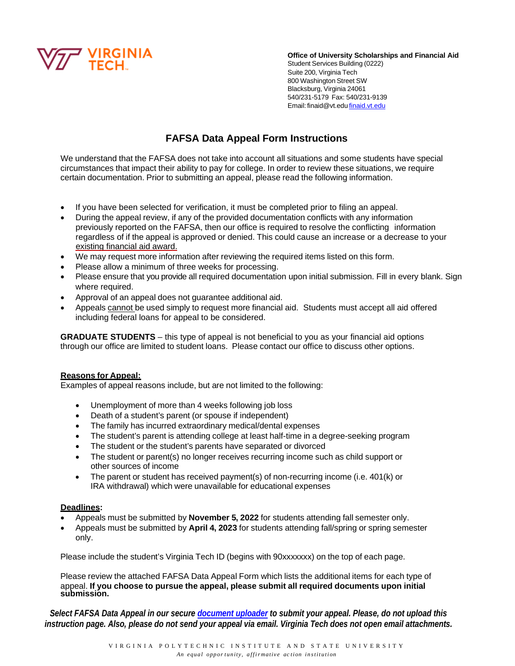

**Office of University Scholarships and Financial Aid**

Student Services Building (0222) Suite 200, Virginia Tech 800 Washington Street SW Blacksburg, Virginia 24061 540/231-5179 Fax: 540/231-9139 Email: [finaid@vt.edu](mailto:finaid@vt.edu) [finaid.vt.edu](https://finaid.vt.edu/)

# **FAFSA Data Appeal Form Instructions**

We understand that the FAFSA does not take into account all situations and some students have special circumstances that impact their ability to pay for college. In order to review these situations, we require certain documentation. Prior to submitting an appeal, please read the following information.

- If you have been selected for verification, it must be completed prior to filing an appeal.
- During the appeal review, if any of the provided documentation conflicts with any information previously reported on the FAFSA, then our office is required to resolve the conflicting information regardless of if the appeal is approved or denied. This could cause an increase or a decrease to your existing financial aid award.
- We may request more information after reviewing the required items listed on this form.
- Please allow a minimum of three weeks for processing.
- Please ensure that you provide all required documentation upon initial submission. Fill in every blank. Sign where required.
- Approval of an appeal does not guarantee additional aid.
- Appeals cannot be used simply to request more financial aid. Students must accept all aid offered including federal loans for appeal to be considered.

**GRADUATE STUDENTS** – this type of appeal is not beneficial to you as your financial aid options through our office are limited to student loans. Please contact our office to discuss other options.

#### **Reasons for Appeal:**

Examples of appeal reasons include, but are not limited to the following:

- Unemployment of more than 4 weeks following job loss
- Death of a student's parent (or spouse if independent)
- The family has incurred extraordinary medical/dental expenses
- The student's parent is attending college at least half-time in a degree-seeking program
- The student or the student's parents have separated or divorced
- The student or parent(s) no longer receives recurring income such as child support or other sources of income
- The parent or student has received payment(s) of non-recurring income (i.e. 401(k) or IRA withdrawal) which were unavailable for educational expenses

#### **Deadlines:**

- Appeals must be submitted by **November 5, 2022** for students attending fall semester only.
- Appeals must be submitted by **April 4, 2023** for students attending fall/spring or spring semester only.

Please include the student's Virginia Tech ID (begins with 90xxxxxxx) on the top of each page.

Please review the attached FAFSA Data Appeal Form which lists the additional items for each type of appeal. **If you choose to pursue the appeal, please submit all required documents upon initial submission.**

*Select FAFSA Data Appeal in our secure [document uploader](https://finaid.vt.edu/forms.html) to submit your appeal. Please, do not upload this instruction page. Also, please do not send your appeal via email. Virginia Tech does not open email attachments.*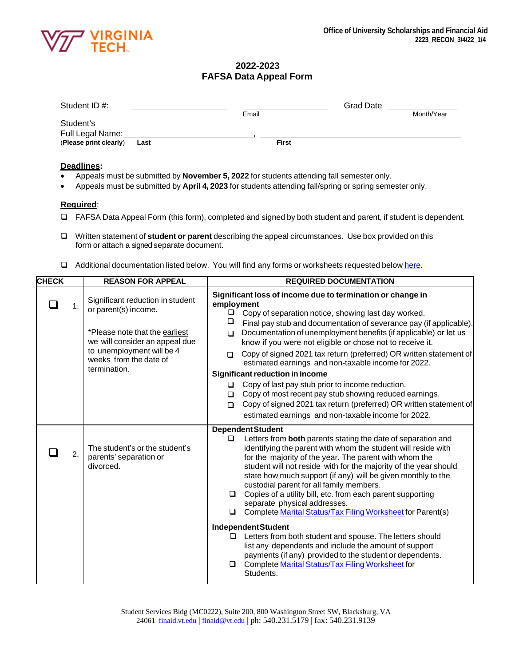

### **2022-2023 FAFSA Data Appeal Form**

| Student ID#:           |      |              | <b>Grad Date</b> |            |
|------------------------|------|--------------|------------------|------------|
|                        |      | Email        |                  | Month/Year |
| Student's              |      |              |                  |            |
| Full Legal Name:       |      |              |                  |            |
| (Please print clearly) | Last | <b>First</b> |                  |            |

#### **Deadlines:**

- Appeals must be submitted by **November 5, 2022** for students attending fall semester only.
- Appeals must be submitted by **April 4, 2023** for students attending fall/spring or spring semester only.

#### **Required**:

- FAFSA Data Appeal Form (this form), completed and signed by both student and parent, if student is dependent.
- Written statement of **student or parent** describing the appeal circumstances. Use box provided on this form or attach a signed separate document.
- □ Additional documentation listed below. You will find any forms or worksheets requested below [here.](https://finaid.vt.edu/forms.html)

| <b>CHECK</b> |    | <b>REASON FOR APPEAL</b>                                                                                                                                                                            | <b>REQUIRED DOCUMENTATION</b>                                                                                                                                                                                                                                                                                                                                                                                                                                                                                                                                                                 |  |  |
|--------------|----|-----------------------------------------------------------------------------------------------------------------------------------------------------------------------------------------------------|-----------------------------------------------------------------------------------------------------------------------------------------------------------------------------------------------------------------------------------------------------------------------------------------------------------------------------------------------------------------------------------------------------------------------------------------------------------------------------------------------------------------------------------------------------------------------------------------------|--|--|
|              | 1. | Significant reduction in student<br>or parent(s) income.<br>*Please note that the earliest<br>we will consider an appeal due<br>to unemployment will be 4<br>weeks from the date of<br>termination. | Significant loss of income due to termination or change in<br>employment<br>□<br>Copy of separation notice, showing last day worked.<br>❏<br>Final pay stub and documentation of severance pay (if applicable).<br>Documentation of unemployment benefits (if applicable) or let us<br>$\Box$<br>know if you were not eligible or chose not to receive it.<br>Copy of signed 2021 tax return (preferred) OR written statement of<br>$\Box$<br>estimated earnings and non-taxable income for 2022.<br>Significant reduction in income                                                          |  |  |
|              |    |                                                                                                                                                                                                     | Copy of last pay stub prior to income reduction.<br>$\Box$<br>Copy of most recent pay stub showing reduced earnings.<br>$\Box$<br>Copy of signed 2021 tax return (preferred) OR written statement of<br>$\Box$<br>estimated earnings and non-taxable income for 2022.                                                                                                                                                                                                                                                                                                                         |  |  |
|              | 2. | The student's or the student's<br>parents' separation or<br>divorced.                                                                                                                               | <b>Dependent Student</b><br>Letters from both parents stating the date of separation and<br>$\Box$<br>identifying the parent with whom the student will reside with<br>for the majority of the year. The parent with whom the<br>student will not reside with for the majority of the year should<br>state how much support (if any) will be given monthly to the<br>custodial parent for all family members.<br>Copies of a utility bill, etc. from each parent supporting<br>$\Box$<br>separate physical addresses.<br>Complete Marital Status/Tax Filing Worksheet for Parent(s)<br>$\Box$ |  |  |
|              |    |                                                                                                                                                                                                     | <b>Independent Student</b><br>Letters from both student and spouse. The letters should<br>$\Box$<br>list any dependents and include the amount of support<br>payments (if any) provided to the student or dependents.<br>Complete Marital Status/Tax Filing Worksheet for<br>$\Box$<br>Students.                                                                                                                                                                                                                                                                                              |  |  |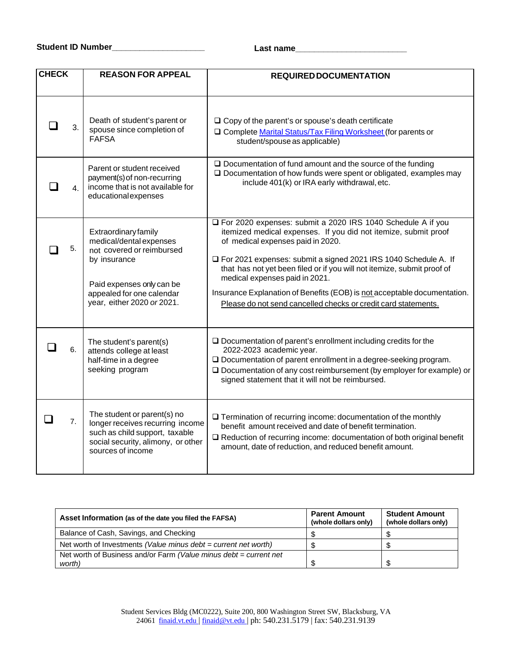| <b>CHECK</b>                                                                                                                                                               |    | <b>REASON FOR APPEAL</b>                                                                                                                                                             | <b>REQUIRED DOCUMENTATION</b>                                                                                                                                                                                                                                                                                                                                                                                                                                                                       |
|----------------------------------------------------------------------------------------------------------------------------------------------------------------------------|----|--------------------------------------------------------------------------------------------------------------------------------------------------------------------------------------|-----------------------------------------------------------------------------------------------------------------------------------------------------------------------------------------------------------------------------------------------------------------------------------------------------------------------------------------------------------------------------------------------------------------------------------------------------------------------------------------------------|
|                                                                                                                                                                            | 3. | Death of student's parent or<br>spouse since completion of<br><b>FAFSA</b>                                                                                                           | $\Box$ Copy of the parent's or spouse's death certificate<br>□ Complete Marital Status/Tax Filing Worksheet (for parents or<br>student/spouse as applicable)                                                                                                                                                                                                                                                                                                                                        |
| Parent or student received<br>payment(s) of non-recurring<br>include 401(k) or IRA early withdrawal, etc.<br>income that is not available for<br>4.<br>educationalexpenses |    | $\square$ Documentation of fund amount and the source of the funding<br>$\square$ Documentation of how funds were spent or obligated, examples may                                   |                                                                                                                                                                                                                                                                                                                                                                                                                                                                                                     |
|                                                                                                                                                                            | 5. | Extraordinary family<br>medical/dental expenses<br>not covered or reimbursed<br>by insurance<br>Paid expenses only can be<br>appealed for one calendar<br>year, either 2020 or 2021. | For 2020 expenses: submit a 2020 IRS 1040 Schedule A if you<br>itemized medical expenses. If you did not itemize, submit proof<br>of medical expenses paid in 2020.<br>□ For 2021 expenses: submit a signed 2021 IRS 1040 Schedule A. If<br>that has not yet been filed or if you will not itemize, submit proof of<br>medical expenses paid in 2021.<br>Insurance Explanation of Benefits (EOB) is not acceptable documentation.<br>Please do not send cancelled checks or credit card statements. |
|                                                                                                                                                                            | 6. | The student's parent(s)<br>attends college at least<br>half-time in a degree<br>seeking program                                                                                      | $\square$ Documentation of parent's enrollment including credits for the<br>2022-2023 academic year.<br>□ Documentation of parent enrollment in a degree-seeking program.<br>$\square$ Documentation of any cost reimbursement (by employer for example) or<br>signed statement that it will not be reimbursed.                                                                                                                                                                                     |
|                                                                                                                                                                            | 7. | The student or parent(s) no<br>longer receives recurring income<br>such as child support, taxable<br>social security, alimony, or other<br>sources of income                         | $\Box$ Termination of recurring income: documentation of the monthly<br>benefit amount received and date of benefit termination.<br>$\Box$ Reduction of recurring income: documentation of both original benefit<br>amount, date of reduction, and reduced benefit amount.                                                                                                                                                                                                                          |

| Asset Information (as of the date you filed the FAFSA)            | <b>Parent Amount</b><br>(whole dollars only) | <b>Student Amount</b><br>(whole dollars only) |  |
|-------------------------------------------------------------------|----------------------------------------------|-----------------------------------------------|--|
| Balance of Cash, Savings, and Checking                            |                                              |                                               |  |
| Net worth of Investments (Value minus $debt = current$ net worth) |                                              |                                               |  |
| Net worth of Business and/or Farm (Value minus debt = current net |                                              |                                               |  |
| worth)                                                            |                                              |                                               |  |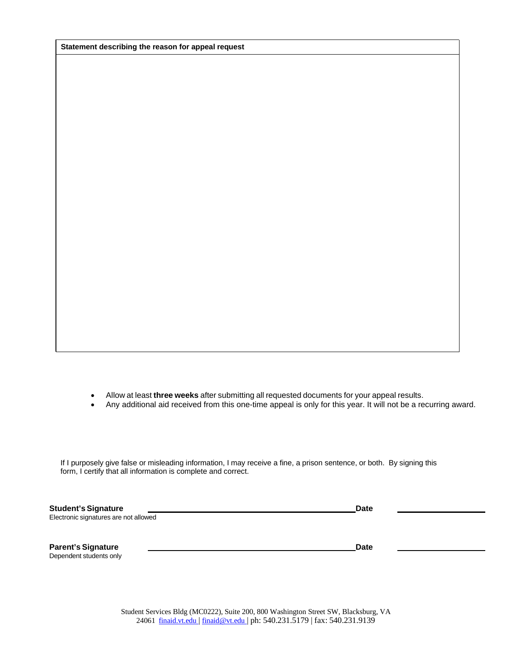**Statement describing the reason for appeal request**

- Allow at least **three weeks** after submitting all requested documents for your appeal results.
- Any additional aid received from this one-time appeal is only for this year. It will not be a recurring award.

If I purposely give false or misleading information, I may receive a fine, a prison sentence, or both. By signing this form, I certify that all information is complete and correct.

| <b>Student's Signature</b>            | <b>Date</b> |  |
|---------------------------------------|-------------|--|
| Electronic signatures are not allowed |             |  |
|                                       |             |  |
|                                       |             |  |
| <b>Parent's Signature</b>             | <b>Date</b> |  |
| Dependent students only               |             |  |